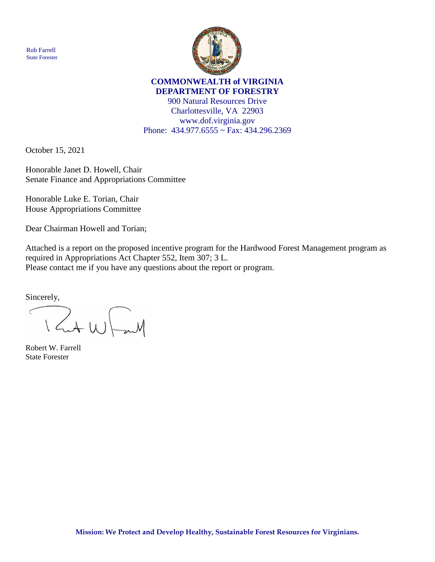Rob Farrell State Forester



## **COMMONWEALTH of VIRGINIA DEPARTMENT OF FORESTRY**

900 Natural Resources Drive Charlottesville, VA 22903 www.dof.virginia.gov Phone: 434.977.6555 ~ Fax: 434.296.2369

October 15, 2021

Honorable Janet D. Howell, Chair Senate Finance and Appropriations Committee

Honorable Luke E. Torian, Chair House Appropriations Committee

Dear Chairman Howell and Torian;

Attached is a report on the proposed incentive program for the Hardwood Forest Management program as required in Appropriations Act Chapter 552, Item 307; 3 L. Please contact me if you have any questions about the report or program.

Sincerely,

Rut W Faith  $\langle$ 

Robert W. Farrell State Forester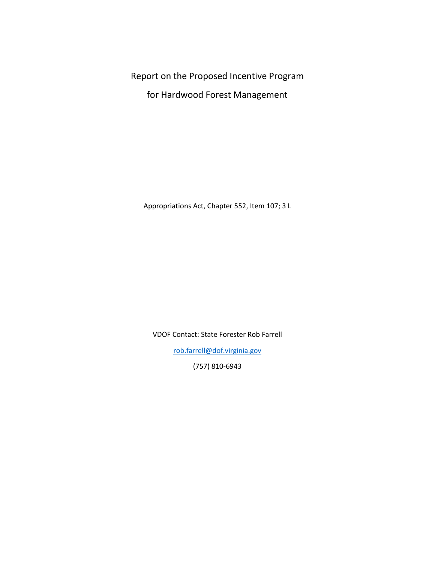Report on the Proposed Incentive Program

for Hardwood Forest Management

Appropriations Act, Chapter 552, Item 107; 3 L

VDOF Contact: State Forester Rob Farrell

[rob.farrell@dof.virginia.gov](mailto:rob.farrell@dof.virginia.gov)

(757) 810-6943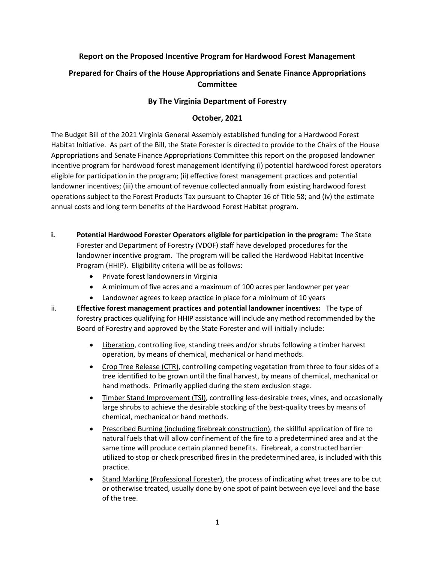## **Report on the Proposed Incentive Program for Hardwood Forest Management**

# **Prepared for Chairs of the House Appropriations and Senate Finance Appropriations Committee**

## **By The Virginia Department of Forestry**

### **October, 2021**

The Budget Bill of the 2021 Virginia General Assembly established funding for a Hardwood Forest Habitat Initiative. As part of the Bill, the State Forester is directed to provide to the Chairs of the House Appropriations and Senate Finance Appropriations Committee this report on the proposed landowner incentive program for hardwood forest management identifying (i) potential hardwood forest operators eligible for participation in the program; (ii) effective forest management practices and potential landowner incentives; (iii) the amount of revenue collected annually from existing hardwood forest operations subject to the Forest Products Tax pursuant to Chapter 16 of Title 58; and (iv) the estimate annual costs and long term benefits of the Hardwood Forest Habitat program.

- **i. Potential Hardwood Forester Operators eligible for participation in the program:** The State Forester and Department of Forestry (VDOF) staff have developed procedures for the landowner incentive program. The program will be called the Hardwood Habitat Incentive Program (HHIP). Eligibility criteria will be as follows:
	- Private forest landowners in Virginia
	- A minimum of five acres and a maximum of 100 acres per landowner per year
	- Landowner agrees to keep practice in place for a minimum of 10 years
- ii. **Effective forest management practices and potential landowner incentives:** The type of forestry practices qualifying for HHIP assistance will include any method recommended by the Board of Forestry and approved by the State Forester and will initially include:
	- Liberation, controlling live, standing trees and/or shrubs following a timber harvest operation, by means of chemical, mechanical or hand methods.
	- Crop Tree Release (CTR), controlling competing vegetation from three to four sides of a tree identified to be grown until the final harvest, by means of chemical, mechanical or hand methods. Primarily applied during the stem exclusion stage.
	- Timber Stand Improvement (TSI), controlling less-desirable trees, vines, and occasionally large shrubs to achieve the desirable stocking of the best-quality trees by means of chemical, mechanical or hand methods.
	- Prescribed Burning (including firebreak construction), the skillful application of fire to natural fuels that will allow confinement of the fire to a predetermined area and at the same time will produce certain planned benefits. Firebreak, a constructed barrier utilized to stop or check prescribed fires in the predetermined area, is included with this practice.
	- Stand Marking (Professional Forester), the process of indicating what trees are to be cut or otherwise treated, usually done by one spot of paint between eye level and the base of the tree.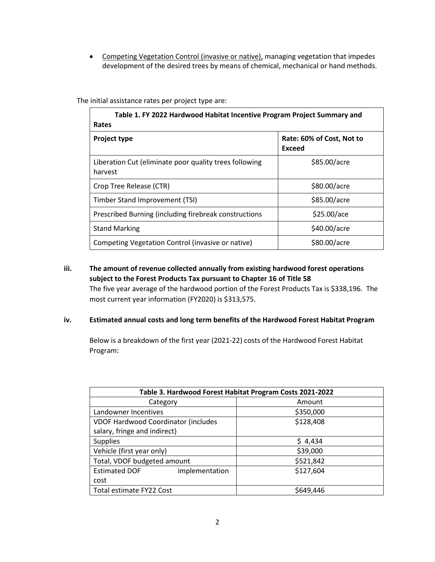• Competing Vegetation Control (invasive or native), managing vegetation that impedes development of the desired trees by means of chemical, mechanical or hand methods.

The initial assistance rates per project type are:

| Table 1. FY 2022 Hardwood Habitat Incentive Program Project Summary and<br>Rates |                                     |
|----------------------------------------------------------------------------------|-------------------------------------|
| <b>Project type</b>                                                              | Rate: 60% of Cost, Not to<br>Exceed |
| Liberation Cut (eliminate poor quality trees following<br>harvest                | \$85.00/acre                        |
| Crop Tree Release (CTR)                                                          | \$80.00/acre                        |
| Timber Stand Improvement (TSI)                                                   | \$85.00/acre                        |
| Prescribed Burning (including firebreak constructions                            | \$25.00/ace                         |
| <b>Stand Marking</b>                                                             | \$40.00/acre                        |
| Competing Vegetation Control (invasive or native)                                | \$80.00/acre                        |

# **iii. The amount of revenue collected annually from existing hardwood forest operations subject to the Forest Products Tax pursuant to Chapter 16 of Title 58**

The five year average of the hardwood portion of the Forest Products Tax is \$338,196. The most current year information (FY2020) is \$313,575.

#### **iv. Estimated annual costs and long term benefits of the Hardwood Forest Habitat Program**

Below is a breakdown of the first year (2021-22) costs of the Hardwood Forest Habitat Program:

| Table 3. Hardwood Forest Habitat Program Costs 2021-2022 |           |
|----------------------------------------------------------|-----------|
| Category                                                 | Amount    |
| Landowner Incentives                                     | \$350,000 |
| <b>VDOF Hardwood Coordinator (includes</b>               | \$128,408 |
| salary, fringe and indirect)                             |           |
| <b>Supplies</b>                                          | \$4,434   |
| Vehicle (first year only)                                | \$39,000  |
| Total, VDOF budgeted amount                              | \$521,842 |
| <b>Estimated DOF</b><br>implementation                   | \$127,604 |
| cost                                                     |           |
| Total estimate FY22 Cost                                 | \$649.446 |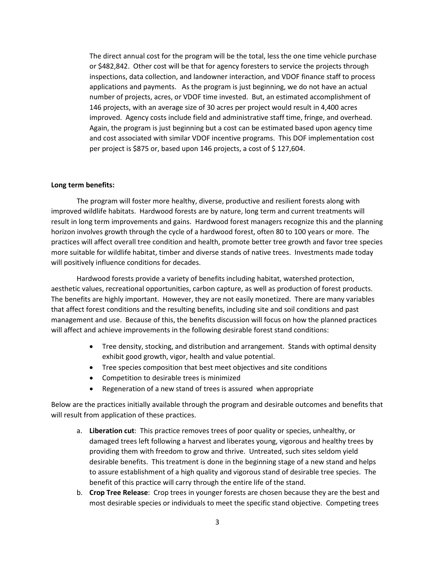The direct annual cost for the program will be the total, less the one time vehicle purchase or \$482,842. Other cost will be that for agency foresters to service the projects through inspections, data collection, and landowner interaction, and VDOF finance staff to process applications and payments. As the program is just beginning, we do not have an actual number of projects, acres, or VDOF time invested. But, an estimated accomplishment of 146 projects, with an average size of 30 acres per project would result in 4,400 acres improved. Agency costs include field and administrative staff time, fringe, and overhead. Again, the program is just beginning but a cost can be estimated based upon agency time and cost associated with similar VDOF incentive programs. This DOF implementation cost per project is \$875 or, based upon 146 projects, a cost of \$127,604.

#### **Long term benefits:**

The program will foster more healthy, diverse, productive and resilient forests along with improved wildlife habitats. Hardwood forests are by nature, long term and current treatments will result in long term improvements and gains. Hardwood forest managers recognize this and the planning horizon involves growth through the cycle of a hardwood forest, often 80 to 100 years or more. The practices will affect overall tree condition and health, promote better tree growth and favor tree species more suitable for wildlife habitat, timber and diverse stands of native trees. Investments made today will positively influence conditions for decades.

Hardwood forests provide a variety of benefits including habitat, watershed protection, aesthetic values, recreational opportunities, carbon capture, as well as production of forest products. The benefits are highly important. However, they are not easily monetized. There are many variables that affect forest conditions and the resulting benefits, including site and soil conditions and past management and use. Because of this, the benefits discussion will focus on how the planned practices will affect and achieve improvements in the following desirable forest stand conditions:

- Tree density, stocking, and distribution and arrangement. Stands with optimal density exhibit good growth, vigor, health and value potential.
- Tree species composition that best meet objectives and site conditions
- Competition to desirable trees is minimized
- Regeneration of a new stand of trees is assured when appropriate

Below are the practices initially available through the program and desirable outcomes and benefits that will result from application of these practices.

- a. **Liberation cut**: This practice removes trees of poor quality or species, unhealthy, or damaged trees left following a harvest and liberates young, vigorous and healthy trees by providing them with freedom to grow and thrive. Untreated, such sites seldom yield desirable benefits. This treatment is done in the beginning stage of a new stand and helps to assure establishment of a high quality and vigorous stand of desirable tree species. The benefit of this practice will carry through the entire life of the stand.
- b. **Crop Tree Release**: Crop trees in younger forests are chosen because they are the best and most desirable species or individuals to meet the specific stand objective. Competing trees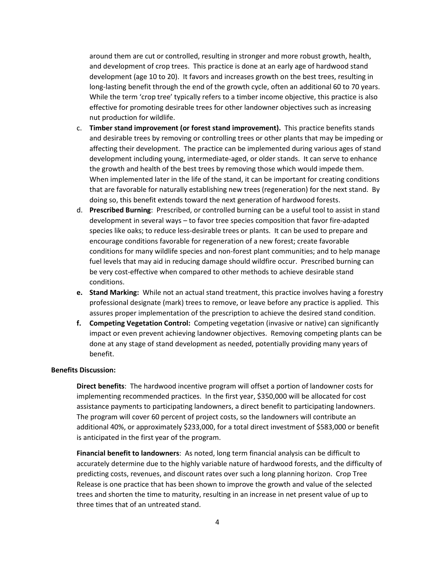around them are cut or controlled, resulting in stronger and more robust growth, health, and development of crop trees. This practice is done at an early age of hardwood stand development (age 10 to 20). It favors and increases growth on the best trees, resulting in long-lasting benefit through the end of the growth cycle, often an additional 60 to 70 years. While the term 'crop tree' typically refers to a timber income objective, this practice is also effective for promoting desirable trees for other landowner objectives such as increasing nut production for wildlife.

- c. **Timber stand improvement (or forest stand improvement).** This practice benefits stands and desirable trees by removing or controlling trees or other plants that may be impeding or affecting their development. The practice can be implemented during various ages of stand development including young, intermediate-aged, or older stands. It can serve to enhance the growth and health of the best trees by removing those which would impede them. When implemented later in the life of the stand, it can be important for creating conditions that are favorable for naturally establishing new trees (regeneration) for the next stand. By doing so, this benefit extends toward the next generation of hardwood forests.
- d. **Prescribed Burning**: Prescribed, or controlled burning can be a useful tool to assist in stand development in several ways – to favor tree species composition that favor fire-adapted species like oaks; to reduce less-desirable trees or plants. It can be used to prepare and encourage conditions favorable for regeneration of a new forest; create favorable conditions for many wildlife species and non-forest plant communities; and to help manage fuel levels that may aid in reducing damage should wildfire occur. Prescribed burning can be very cost-effective when compared to other methods to achieve desirable stand conditions.
- **e. Stand Marking:** While not an actual stand treatment, this practice involves having a forestry professional designate (mark) trees to remove, or leave before any practice is applied. This assures proper implementation of the prescription to achieve the desired stand condition.
- **f. Competing Vegetation Control:** Competing vegetation (invasive or native) can significantly impact or even prevent achieving landowner objectives. Removing competing plants can be done at any stage of stand development as needed, potentially providing many years of benefit.

#### **Benefits Discussion:**

**Direct benefits**: The hardwood incentive program will offset a portion of landowner costs for implementing recommended practices. In the first year, \$350,000 will be allocated for cost assistance payments to participating landowners, a direct benefit to participating landowners. The program will cover 60 percent of project costs, so the landowners will contribute an additional 40%, or approximately \$233,000, for a total direct investment of \$583,000 or benefit is anticipated in the first year of the program.

**Financial benefit to landowners**: As noted, long term financial analysis can be difficult to accurately determine due to the highly variable nature of hardwood forests, and the difficulty of predicting costs, revenues, and discount rates over such a long planning horizon. Crop Tree Release is one practice that has been shown to improve the growth and value of the selected trees and shorten the time to maturity, resulting in an increase in net present value of up to three times that of an untreated stand.